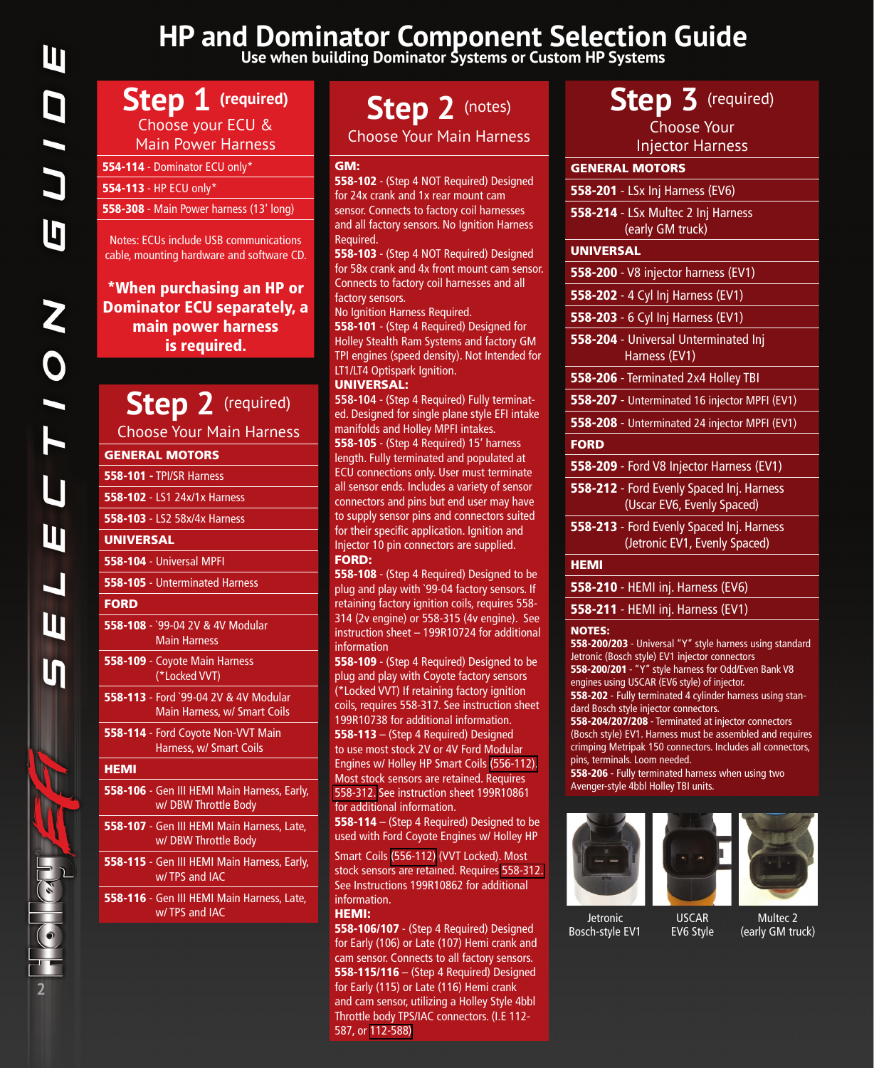# **HP and Dominator Component Selection Guide Use when building Dominator Systems or Custom HP Systems**

# **Step 1 (required)** Choose your ECU &

Main Power Harness

554-114 [- Dominator ECU only\\*](https://www.holley.com/554-114)

554-113 [- HP ECU only\\*](https://www.holley.com/554-113/)

558-308 [- Main Power harness \(13' long\)](https://www.holley.com/558-308)

Notes: ECUs include USB communications cable, mounting hardware and software CD.

# \*When purchasing an HP or Dominator ECU separately, a main power harness is required.

# **Step 2** (required)

Choose Your Main Harness

### GENERAL MOTORS

- 558-101 - [TPI/SR Harness](https://www.holley.com/558-101) 558-102 [- LS1 24x/1x Harness](https://www.holley.com/558-102) 558-103 [- LS2 58x/4x Harness](https://www.holley.com/558-103) UNIVERSAL 558-104 [- Universal MPFI](https://www.holley.com/558-104) 558-105 [- Unterminated Harness](https://www.holley.com/558-105) **FORD** 558-108 [- `99-04 2V & 4V Modular](https://www.holley.com/558-108)  Main Harness 558-109 [- Coyote Main Harness](https://www.holley.com/558-109)  (\*Locked VVT) 558-113 [- Ford `99-04 2V & 4V Modular](https://www.holley.com/558-113)  Main Harness, w/ Smart Coils 558-114 [- Ford Coyote Non-VVT Main](https://www.holley.com/558-114)  Harness, w/ Smart Coils **HEMI** 558-106 [- Gen III HEMI Main Harness, Early,](https://www.holley.com/558-106)  w/ DBW Throttle Body 558-107 [- Gen III HEMI Main Harness, Late,](https://www.holley.com/558-107)  w/ DBW Throttle Body 558-115 [- Gen III HEMI Main Harness, Early,](https://www.holley.com/558-115)  w/ TPS and IAC
- 558-116 [Gen III HEMI Main Harness, Late,](https://www.holley.com/558-116)  w/ TPS and IAC

# **Step 2** (notes)

Choose Your Main Harness

#### GM:

558-102 - (Step 4 NOT Required) Designed for 24x crank and 1x rear mount cam sensor. Connects to factory coil harnesses [and all factory sensors. No Ignition Harness](https://www.holley.com/558-102)  Required.

558-103 - (Step 4 NOT Required) Designed [for 58x crank and 4x front mount cam sensor.](https://www.holley.com/558-103)  Connects to factory coil harnesses and all factory sensors.

No Ignition Harness Required.

558-101 - (Step 4 Required) Designed for Holley Stealth Ram Systems and factory GM [TPI engines \(speed density\). Not Intended for](https://www.holley.com/558-101)  LT1/LT4 Optispark Ignition.

### UNIVERSAL:

**558-104** - (Step 4 Required) Fully terminat[ed. Designed for single plane style EFI intake](https://www.holley.com/558-104)  manifolds and Holley MPFI intakes.

558-105 - (Step 4 Required) 15' harness length. Fully terminated and populated at ECU connections only. User must terminate all sensor ends. Includes a variety of sensor connectors and pins but end user may have [to supply sensor pins and connectors suited](https://www.holley.com/558-105)  for their specific application. Ignition and Injector 10 pin connectors are supplied. FORD:

558-108 - (Step 4 Required) Designed to be plug and play with `99-04 factory sensors. If retaining factory ignition coils, requires 558- 314 (2v engine) or 558-315 (4v engine). See [instruction sheet – 199R10724 for additional](https://www.holley.com/558-108)  information

558-109 - (Step 4 Required) Designed to be plug and play with Coyote factory sensors (\*Locked VVT) If retaining factory ignition [coils, requires 558-317. See instruction sheet](https://www.holley.com/558-109)  199R10738 for additional information. 558-113 [– \(Step 4 Required\) Designed](https://www.holley.com/558-113)  to use most stock 2V or 4V Ford Modular Engines w/ Holley HP Smart Coils [\(556-112\).](https://www.holley.com/556-112)  Most stock sensors are retained. Requires [558-312.](https://www.holley.com/558-312) See instruction sheet 199R10861 for additional information.

558-114 – (Step 4 Required) Designed to be [used with Ford Coyote Engines w/ Holley HP](https://www.holley.com/558-114) 

Smart Coils [\(556-112\)](https://www.holley.com/556-112) (VVT Locked). Most stock sensors are retained. Requires [558-312.](https://www.holley.com/558-312)  See Instructions 199R10862 for additional information.

#### HEMI:

558-106/107 - (Step 4 Required) Designed [for Early \(106\) or Late \(107\) Hemi crank and](https://www.holley.com/558-106)  cam sensor. Connects to all factory sensors. 558-115/116 – (Step 4 Required) Designed for Early (115) or Late (116) Hemi crank [and cam sensor, utilizing a Holley Style 4bbl](https://www.holley.com/558-115)  Throttle body TPS/IAC connectors. (I.E 112- 587, or [112-588\)](https://www.holley.com/112-588)

# Step 3<sup> (required)</sup>

Choose Your Injector Harness

| 11122221112112                                                             |
|----------------------------------------------------------------------------|
| <b>GENERAL MOTORS</b>                                                      |
| 558-201 - LSx Inj Harness (EV6)                                            |
| 558-214 - LSx Multec 2 Inj Harness<br>(early GM truck)                     |
| <b>UNIVERSAL</b>                                                           |
| 558-200 - V8 injector harness (EV1)                                        |
| 558-202 - 4 Cyl Inj Harness (EV1)                                          |
| 558-203 - 6 Cyl Inj Harness (EV1)                                          |
| 558-204 - Universal Unterminated Inj<br>Harness (EV1)                      |
| 558-206 - Terminated 2x4 Holley TBI                                        |
| 558-207 - Unterminated 16 injector MPFI (EV1)                              |
| 558-208 - Unterminated 24 injector MPFI (EV1)                              |
| <b>FORD</b>                                                                |
| 558-209 - Ford V8 Injector Harness (EV1)                                   |
| 558-212 - Ford Evenly Spaced Inj. Harness<br>(Uscar EV6, Evenly Spaced)    |
| 558-213 - Ford Evenly Spaced Inj. Harness<br>(Jetronic EV1, Evenly Spaced) |
| <b>HEMI</b>                                                                |
| 558-210 - HEMI inj. Harness (EV6)                                          |
| 558-211 - HEMI inj. Harness (EV1)                                          |
|                                                                            |

#### NOTES:

558-200/203 [- Universal "Y" style harness using standard](https://www.holley.com/558-200)  Jetronic (Bosch style) EV1 injector connectors 558-200/201 - "Y" style harness for Odd/Even Bank V8 [engines using USCAR \(EV6 style\) of injector.](https://www.holley.com/558-201) 558-202 [- Fully terminated 4 cylinder harness using stan](https://www.holley.com/558-202)dard Bosch style injector connectors.

558-204/207/208 - Terminated at injector connectors [\(Bosch style\) EV1. Harness must be assembled and requires](https://www.holley.com/558-204)  crimping Metripak 150 connectors. Includes all connectors, pins, terminals. Loom needed.

558-206 [- Fully terminated harness when using two](https://www.holley.com/558-206)  Avenger-style 4bbl Holley TBI units.



USCAR EV6 Style

Jetronic Bosch-style EV1

Multec 2 (early GM truck)

**2**

au Aug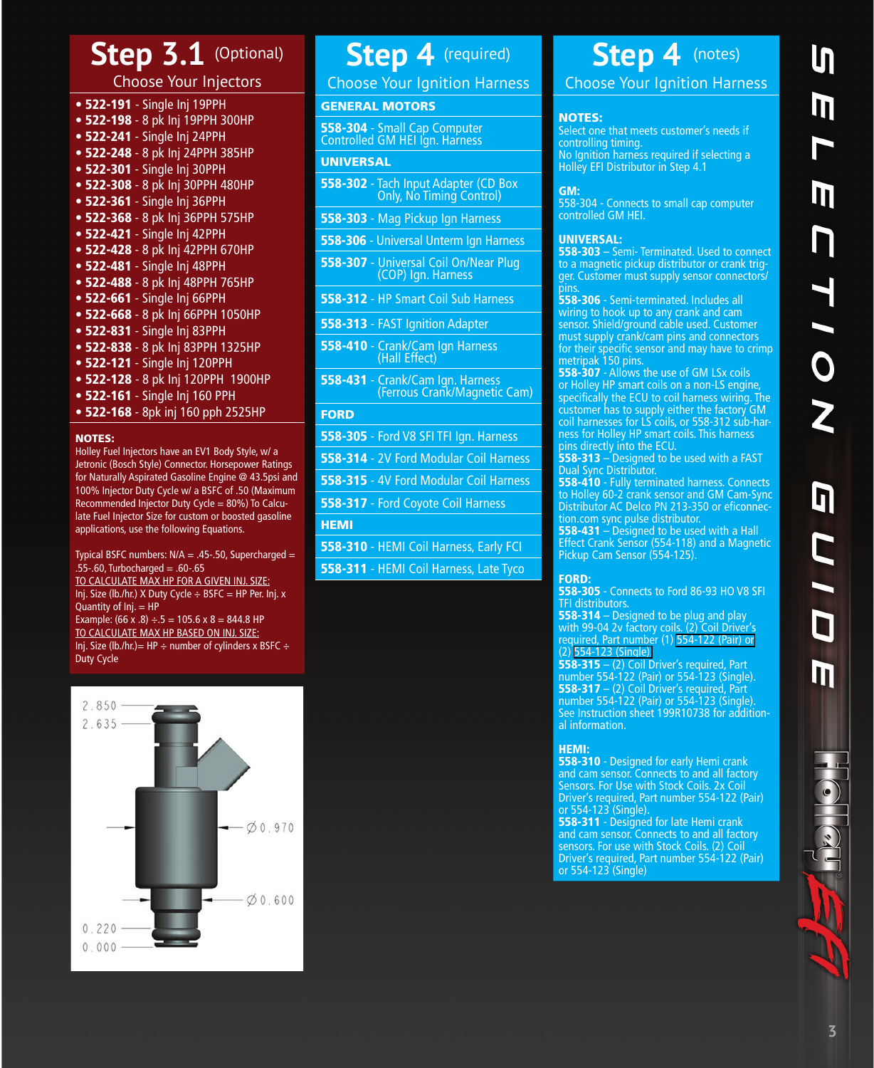# Step 3.1 (Optional)

Choose Your Injectors

- 522-191  [Single Inj 19PPH](https://www.holley.com/522-191)
- 522-198 [8 pk Inj 19PPH 300HP](https://www.holley.com/522-198)
- 522-241 [Single Inj 24PPH](https://www.holley.com/522-241)
- 522-248 [8 pk Inj 24PPH 385HP](https://www.holley.com/522-248)
- 522-301 [Single Inj 30PPH](https://www.holley.com/522-301)
- 522-308 [8 pk Inj 30PPH 480HP](https://www.holley.com/522-308)
- 522-361 [Single Inj 36PPH](https://www.holley.com/522-361)
- 522-368 [8 pk Inj 36PPH 575HP](https://www.holley.com/522-368)
- 522-421 [Single Inj 42PPH](https://www.holley.com/522-421)
- 522-428 [8 pk Inj 42PPH 670HP](https://www.holley.com/522-428) • 522-481 [- Single Inj 48PPH](https://www.holley.com/522-481)
- 
- 522-488 [8 pk Inj 48PPH 765HP](https://www.holley.com/522-488)
- 522-661 [Single Inj 66PPH](https://www.holley.com/522-661) • 522-668 [- 8 pk Inj 66PPH 1050HP](https://www.holley.com/522-668)
- 522-831 [Single Inj 83PPH](https://www.holley.com/522-831)
- 
- 522-838 [8 pk Inj 83PPH 1325HP](https://www.holley.com/522-838) • 522-121 [- Single Inj 120PPH](https://www.holley.com/522-121)
- 
- 522-128  [8 pk Inj 120PPH 1900HP](https://www.holley.com/522-128)
- 522-161 [Single Inj 160 PPH](https://www.holley.com/522-161) • 522-168 [- 8pk inj 160 pph 2525HP](https://www.holley.com/522-168)
- NOTES:

Holley Fuel Injectors have an EV1 Body Style, w/ a Jetronic (Bosch Style) Connector. Horsepower Ratings for Naturally Aspirated Gasoline Engine @ 43.5psi and 100% Injector Duty Cycle w/ a BSFC of .50 (Maximum Recommended Injector Duty Cycle = 80%) To Calculate Fuel Injector Size for custom or boosted gasoline applications, use the following Equations.

Typical BSFC numbers:  $N/A = .45-.50$ , Supercharged =  $.55 - .60$ , Turbocharged =  $.60 - .65$ TO CALCULATE MAX HP FOR A GIVEN INJ. SIZE: Inj. Size (lb./hr.) X Duty Cycle ÷ BSFC = HP Per. Inj. x Quantity of Inj. = HP Example: (66 x .8)  $\div$  5 = 105.6 x 8 = 844.8 HP TO CALCULATE MAX HP BASED ON INJ. SIZE: Inj. Size (lb./hr.)= HP ÷ number of cylinders x BSFC ÷ Duty Cycle



# **Step 4** (required)

Choose Your Ignition Harness

## GENERAL MOTORS

558-304 - Small Cap Computer<br>Controlled GM HEI Ign. Harness

### UNIVERSAL

- 558-302 [Tach Input Adapter \(CD Box](https://www.holley.com/558-302)  Only, No Timing Control)
- 558-303 [Mag Pickup Ign Harness](https://www.holley.com/558-303)
- 558-306 [Universal Unterm Ign Harness](https://www.holley.com/558-306)
- 558-307 [Universal Coil On/Near Plug](https://www.holley.com/558-307)  (COP) Ign. Harness
- 558-312 [HP Smart Coil Sub Harness](https://www.holley.com/558-312)
- 558-313 [FAST Ignition Adapter](https://www.holley.com/558-313)
- 558-410 [Crank/Cam Ign Harness](https://www.holley.com/558-410)  (Hall Effect)
- 558-431 Crank/Cam Ign. Harness [\(Ferrous Crank/Magnetic Cam\)](https://www.holley.com/558-431)

## **FORD**

- 558-305 [Ford V8 SFI TFI Ign. Harness](https://www.holley.com/558-305)
- 558-314 [2V Ford Modular Coil Harness](https://www.holley.com/558-314)
- 558-315 [4V Ford Modular Coil Harness](https://www.holley.com/558-315)
- 558-317 [Ford Coyote Coil Harness](https://www.holley.com/558-317)

### **HEMI**

- 558-310 [HEMI Coil Harness, Early FCI](https://www.holley.com/558-310)
- 558-311 [HEMI Coil Harness, Late Tyco](https://www.holley.com/558-311)

# **Step 4** (notes)

Choose Your Ignition Harness

#### NOTES:

Select one that meets customer's needs if controlling timing. No Ignition harness required if selecting a Holley EFI Distributor in Step 4.1

#### GM:

[558-304 - Connects to small cap computer](https://www.holley.com/558-304)  controlled GM HEI.

#### UNIVERSAL:

558-303 - Semi- Terminated. Used to connect to a magnetic pickup distributor or crank trig-<br>[ger. Customer must supply sensor connectors/](https://www.holley.com/558-303) pins.

558-306 - Semi-terminated. Includes all wiring to hook up to any crank and cam sensor. Shield/ground cable used. Customer must supply crank/cam pins and connectors for their specific sensor and may have to crimp metripak 150 pins.

558-307 - Allows the use of GM LSx coils or Holley HP smart coils on a non-LS engine, [specifically the ECU to coil harness wiring. The](https://www.holley.com/558-307)  customer has to supply either the factory GM coil harnesses for LS coils, or 558-312 sub-harness for Holley HP smart coils. This harness pins directly into the ECU.

558-313  $-$  Designed to be used with a FAST Dual Sync Distributor.

558-410 - Fully terminated harness. Connects [to Holley 60-2 crank sensor and GM Cam-Sync](https://www.holley.com/558-410)  Distributor AC Delco PN 213-350 or eficonnection.com sync pulse distributor.

**558-431** – Designed to be used with a Hall Effect Crank Sensor [\(554-118\)](https://www.holley.com/554-118) and a Magnetic Pickup Cam Sensor [\(554-125\)](https://www.holley.com/554-125).

#### FORD:

558-305 - Connects to Ford 86-93 HO V8 SFI TFI distributors.

558-314 – Designed to be plug and play with 99-04 2v factory coils. (2) Coil Driver's required, Part number (1) [554-122 \(Pair\) or](https://www.holley.com/554-122)  (2) [554-123 \(Single\).](https://www.holley.com/554-123)

558-315  $-$  (2) Coil Driver's required, Part [number 554-122 \(Pair\) or 554-123 \(Single\).](https://www.holley.com/558-315) 558-317 –  $(2)$  Coil Driver's required, Part number 554-122 (Pair) or 554-123 (Single). [See Instruction sheet 199R10738 for addition](https://www.holley.com/558-317)al information.

## HEMI:

558-310 - Designed for early Hemi crank [and cam sensor. Connects to and all factory](https://www.holley.com/558-310)  Sensors. For Use with Stock Coils. 2x Coil Driver's required, Part numb[er 554-122 \(Pair\)](https://www.holley.com/554-122)  or [554-123 \(Single\).](https://www.holley.com/554-123)

558-311 - Designed for late Hemi crank [and cam sensor. Connects to and all factory](https://www.holley.com/558-311)  sensors. For use with Stock Coils. (2) Coil Driver's required, [Part number 554-122 \(Pair\)](https://www.holley.com/554-122)  or [554-123 \(Single\)](https://www.holley.com/558-123)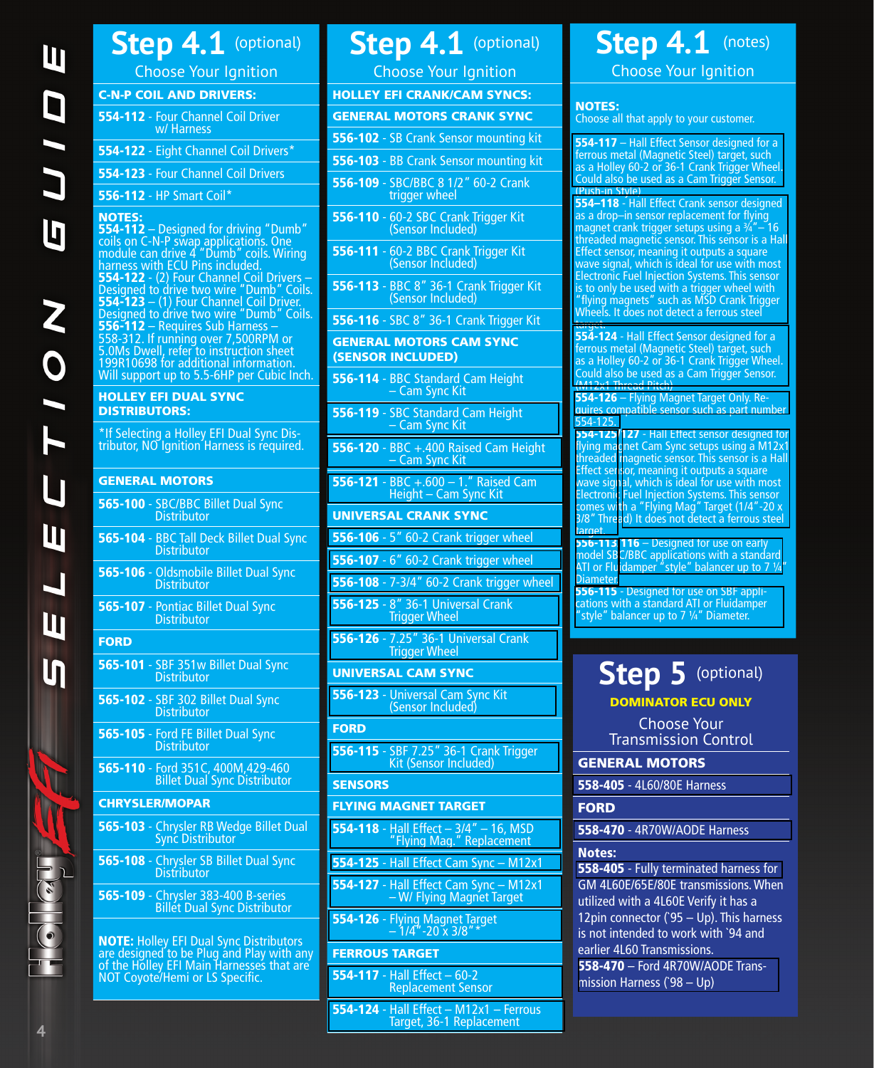# **Step 4.1** (optional)

Choose Your Ignition

## C-N-P COIL AND DRIVERS:

| 554-112 - Four Channel Coil Driver<br>w/ Harness |  |
|--------------------------------------------------|--|
| 554-122 - Eight Channel Coil Drivers*            |  |

554-123 [- Four Channel Coil Drivers](https://www.holley.com/554-123)

# 556-112 [- HP Smart Coil\\*](https://www.holley.com/556-112)

### NOTES:

554-112 – Designed for driving "Dumb"<br>coils on C-N-P swap applications. One module can drive 4 "Dumb" coils. Wiring harness with ECU Pins included. 554-122 -  $(2)$  Four Channel Coil Drivers – Designed to drive two wire "Dumb" Coils. **554-123** – (1) Four Channel Coil Driver. Designed to drive two wire "Dumb" Coils. 556-112 – Requires Sub Harness –<br>[558-312.](https://www.holley.com/558-312) If running over 7,500RPM or 5.0Ms Dwell, refer to instruction sheet 199R10698 for additional information. Will support up to 5.5-6HP per Cubic Inch.

#### HOLLEY EFI DUAL SYNC DISTRIBUTORS:

\*If Selecting a Holley EFI Dual Sync Dis- tributor, NO Ignition Harness is required.

# GENERAL MOTORS

| 565-104 - BBC Tall Deck Billet Dual Sync<br><b>Distributor</b><br>565-106 - Oldsmobile Billet Dual Sync<br><b>Distributor</b><br>565-107 - Pontiac Billet Dual Sync<br><b>Distributor</b><br><b>FORD</b><br>565-101 - SBF 351w Billet Dual Sync<br><b>Distributor</b><br>565-102 - SBF 302 Billet Dual Sync<br><b>Distributor</b><br>565-105 - Ford FE Billet Dual Sync<br><b>Distributor</b><br>565-110 - Ford 351C, 400M, 429-460<br><b>Billet Dual Sync Distributor</b><br><b>CHRYSLER/MOPAR</b><br><b>565-103</b> - Chrysler RB Wedge Billet Dual<br>Sync Distributor<br>565-108 - Chrysler SB Billet Dual Sync<br><b>Distributor</b><br>565-109 - Chrysler 383-400 B-series |  | 565-100 - SBC/BBC Billet Dual Sync<br><b>Distributor</b> |
|----------------------------------------------------------------------------------------------------------------------------------------------------------------------------------------------------------------------------------------------------------------------------------------------------------------------------------------------------------------------------------------------------------------------------------------------------------------------------------------------------------------------------------------------------------------------------------------------------------------------------------------------------------------------------------|--|----------------------------------------------------------|
|                                                                                                                                                                                                                                                                                                                                                                                                                                                                                                                                                                                                                                                                                  |  |                                                          |
|                                                                                                                                                                                                                                                                                                                                                                                                                                                                                                                                                                                                                                                                                  |  |                                                          |
|                                                                                                                                                                                                                                                                                                                                                                                                                                                                                                                                                                                                                                                                                  |  |                                                          |
|                                                                                                                                                                                                                                                                                                                                                                                                                                                                                                                                                                                                                                                                                  |  |                                                          |
|                                                                                                                                                                                                                                                                                                                                                                                                                                                                                                                                                                                                                                                                                  |  |                                                          |
|                                                                                                                                                                                                                                                                                                                                                                                                                                                                                                                                                                                                                                                                                  |  |                                                          |
|                                                                                                                                                                                                                                                                                                                                                                                                                                                                                                                                                                                                                                                                                  |  |                                                          |
|                                                                                                                                                                                                                                                                                                                                                                                                                                                                                                                                                                                                                                                                                  |  |                                                          |
|                                                                                                                                                                                                                                                                                                                                                                                                                                                                                                                                                                                                                                                                                  |  |                                                          |
|                                                                                                                                                                                                                                                                                                                                                                                                                                                                                                                                                                                                                                                                                  |  |                                                          |
|                                                                                                                                                                                                                                                                                                                                                                                                                                                                                                                                                                                                                                                                                  |  |                                                          |
|                                                                                                                                                                                                                                                                                                                                                                                                                                                                                                                                                                                                                                                                                  |  | <b>Billet Dual Sync Distributor</b>                      |

NOTE: Holley EFI Dual Sync Distributors are designed to be Plug and Play with any of the Holley EFI Main Harnesses that are NOT Coyote/Hemi or LS Specific.

# **Step 4.1** (optional)

Choose Your Ignition

| HOLLEY EFI CRANK/CAM SYNCS: |  |
|-----------------------------|--|
| GENERAL MOTORS CRANK SYNC   |  |

556-102 [- SB Crank Sensor mounting kit](https://www.holley.com/556-102)

- 556-103 [BB Crank Sensor mounting kit](https://www.holley.com/556-103)
- 556-109 [SBC/BBC 8 1/2" 60-2 Crank](https://www.holley.com/556-109)  trigger wheel
- 556-110 [60-2 SBC Crank Trigger Kit](https://www.holley.com/556-110)  (Sensor Included)
- 556-111 [60-2 BBC Crank Trigger Kit](https://www.holley.com/556-111)  (Sensor Included)
- 556-113 [BBC 8" 36-1 Crank Trigger Kit](https://www.holley.com/556-113)  (Sensor Included)

556-116 [- SBC 8" 36-1 Crank Trigger Kit](https://www.holley.com/556-116)

## GENERAL MOTORS CAM SYNC (SENSOR INCLUDED)

- 556-114 [BBC Standard Cam Height](https://www.holley.com/556-114)  – Cam Sync Kit
- 556-119 [SBC Standard Cam Height](https://www.holley.com/556-119)  – Cam Sync Kit
- 556-120 [BBC +.400 Raised Cam Height](https://www.holley.com/556-120)  – Cam Sync Kit
- 556-121 [BBC +.600 1." Raised Cam](https://www.holley.com/556-121)  Height – Cam Sync Kit

# UNIVERSAL CRANK SYNC

- 556-106 [5" 60-2 Crank trigger wheel](https://www.holley.com/556-106)
- 556-107 [6" 60-2 Crank trigger wheel](https://www.holley.com/556-107)
- 556-108 [7-3/4" 60-2 Crank trigger wheel](https://www.holley.com/556-108)
- 556-125 [8" 36-1 Universal Crank](https://www.holley.com/556-125)  Trigger Wheel
- 556-126 [7.25" 36-1 Universal Crank](https://www.holley.com/556-126)  Trigger Wheel

# UNIVERSAL CAM SYNC

556-123 [- Universal Cam Sync Kit](https://www.holley.com/556-123)  (Sensor Included)

## FORD

556-115 [- SBF 7.25" 36-1 Crank Trigger](https://www.holley.com/556-115)  Kit (Sensor Included)

## **SENSORS**

# FLYING MAGNET TARGET

- 554-118 [Hall Effect 3/4" 16, MSD](https://www.holley.com/554-118)  "Flying Mag." Replacement
- 554-125 [Hall Effect Cam Sync M12x1](https://www.holley.com/554-125)
- 554-127 [Hall Effect Cam Sync M12x1](https://www.holley.com/554-127)  – W/ Flying Magnet Target
- 554-126 [Flying Magnet Target](https://www.holley.com/554-126)  – 1/4"-20 x 3/8"\*

# FERROUS TARGET

- 554-117 Hall Effect 60-2 [Replacement Sensor](https://www.holley.com/554-117)
- 554-124 [Hall Effect M12x1 Ferrous](https://www.holley.com/554-124)  Target, 36-1 Replacement

# Step 4.1 (notes)

Choose Your Ignition

# NOTES:

Choose all that apply to your customer.

554-117 - Hall Effect Sensor designed for a ferrous metal (Magnetic Steel) target, such [as a Holley 60-2 or 36-1 Crank Trigger Wheel.](https://www.holley.com/554-117)  Could also be used as a Cam Trigger Sensor. (Push-in Style)

554–118 - Hall Effect Crank sensor designed as a drop–in sensor replacement for flying magnet crank trigger setups using a  $\frac{3}{4}$ " – 16 [threaded magnetic sensor. This sensor is a Hall](https://www.holley.com/554-118) Effect sensor, meaning it outputs a square wave signal, which is ideal for use with most Electronic Fuel Injection Systems. This sensor is to only be used with a trigger wheel with "flying magnets" such as MSD Crank Trigger Wheels. It does not detect a ferrous steel target

554-124 - Hall Effect Sensor designed for a ferrous metal (Magnetic Steel) target, such [as a Holley 60-2 or 36-1 Crank Trigger Wheel.](https://www.holley.com/554-124)  Could also be used as a Cam Trigger Sensor. (M12x1 Thread Pitch)

554-126 – Flying Magnet Target Only. Re[quires compatible sensor such as part number](https://www.holley.com/554-126)  [554-125.](https://www.holley.com/554-125)

554-125/127 - Hall Effect sensor designed for [flying ma](https://www.holley.com/554-125)[gnet Cam Sync setups using a M12x1](https://www.holley.com/554-127) threaded magnetic sensor. This sensor is a Hall Effect sensor, meaning it outputs a square wave signal, which is ideal for use with most Electronic Fuel Injection Systems. This sensor comes with a "Flying Mag" Target (1/4"-20 x 3/8" Thread) It does not detect a ferrous steel target

**556-113/116** – Designed for use on early [model SB](https://www.holley.com/556-113)[C/BBC applications with a standard](https://www.holley.com/556-116)  ATI or Fluidamper "style" balancer up to 7 ¼" Diameter.

**556-115** - Designed for use on SBF appli[cations with a standard ATI or Fluidamper](https://www.holley.com/556-115)  "style" balancer up to 7 ¼" Diameter.

# **Step 5** (optional) DOMINATOR ECU ONLY

Choose Your Transmission Control

GENERAL MOTORS

558-405 [- 4L60/80E Harness](https://www.holley.com/558-405)

# **FORD**

558-470 [- 4R70W/AODE Harness](https://www.holley.com/558-470)

# Notes:

558-405 [- Fully terminated harness for](https://www.holley.com/558-405)  GM 4L60E/65E/80E transmissions. When utilized with a 4L60E Verify it has a 12pin connector (`95 – Up). This harness is not intended to work with `94 and earlier 4L60 Transmissions. 558-470 [– Ford 4R70W/AODE Trans](https://www.holley.com/558-470)mission Harness (`98 – Up)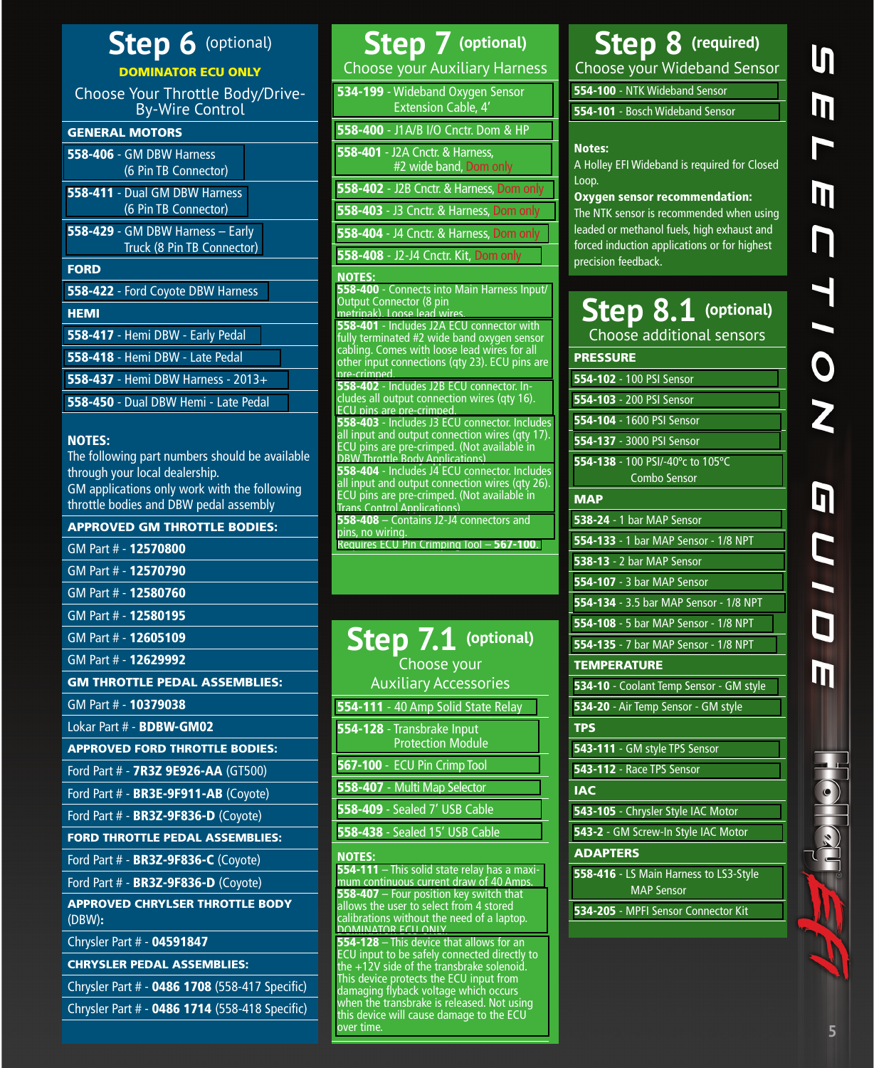# **Step 6** (optional)

# DOMINATOR ECU ONLY

Choose Your Throttle Body/Drive-By-Wire Control

## GENERAL MOTORS

| SENEIVAE IVIOTORJ                                              |
|----------------------------------------------------------------|
| <b>558-406 - GM DBW Harness</b><br>(6 Pin TB Connector)        |
| 558-411 - Dual GM DBW Harness<br>(6 Pin TB Connector)          |
| 558-429 - GM DBW Harness - Early<br>Truck (8 Pin TB Connector) |
| <b>FORD</b>                                                    |
| 558-422 - Ford Coyote DBW Harness                              |
| <b>HEMI</b>                                                    |
| 558-417 - Hemi DBW - Early Pedal                               |
| 558-418 - Hemi DBW - Late Pedal                                |
| 558-437 - Hemi DBW Harness - 2013+                             |
| 558-450 - Dual DBW Hemi - Late Pedal                           |

## NOTES:

The following part numbers should be available through your local dealership. GM applications only work with the following throttle bodies and DBW pedal assembly

### APPROVED GM THROTTLE BODIES:

| GM Part # - <b>12570800</b>                      |
|--------------------------------------------------|
| GM Part # - 12570790                             |
| GM Part # - 12580760                             |
| GM Part # - <b>12580195</b>                      |
| GM Part # - 12605109                             |
| GM Part # - 12629992                             |
| <b>GM THROTTLE PEDAL ASSEMBLIES:</b>             |
| GM Part # - <b>10379038</b>                      |
| Lokar Part # - <b>BDBW-GM02</b>                  |
| <b>APPROVED FORD THROTTLE BODIES:</b>            |
| Ford Part # - 7R3Z 9E926-AA (GT500)              |
| Ford Part # - BR3E-9F911-AB (Coyote)             |
| Ford Part # - BR3Z-9F836-D (Coyote)              |
| <b>FORD THROTTLE PEDAL ASSEMBLIES:</b>           |
| Ford Part # - <b>BR3Z-9F836-C</b> (Coyote)       |
| Ford Part # - BR3Z-9F836-D (Coyote)              |
| <b>APPROVED CHRYLSER THROTTLE BODY</b><br>(DBW): |
|                                                  |

Chrysler Part # - 04591847

CHRYSLER PEDAL ASSEMBLIES:

Chrysler Part # - 0486 1708 (558-417 Specific)

Chrysler Part # - 0486 1714 (558-418 Specific)

# **Step 7 (optional)** Choose your Auxiliary Harness

534-199 [- Wideband Oxygen Sensor](https://www.holley.com/534-199)  Extension Cable, 4'

558-400 [- J1A/B I/O Cnctr. Dom & HP](https://www.holley.com/558-400)

558-401 - J2A Cnctr. & Harness, [#2 wide band, Dom only](https://www.holley.com/558-401)

558-402 [- J2B Cnctr. & Harness, Dom only](https://www.holley.com/558-402) 558-403 [- J3 Cnctr. & Harness, Dom only](https://www.holley.com/558-403)

558-404 [- J4 Cnctr. & Harness, Dom only](https://www.holley.com/558-404)

558-408 [- J2-J4 Cnctr. Kit, Dom only](https://www.holley.com/558-408)

## NOTES:

558-400 [- Connects into Main Harness Input/](https://www.holley.com/558-400) Output Connector (8 pin metripak). Loose lead wires. 558-401 - Includes J2A ECU connector with fully terminated #2 wide band oxygen sensor cabling. Comes with loose lead wires for all [other input connections \(qty 23\). ECU pins are](https://www.holley.com/558-401)  pre-crimped. 558-402 - Includes J2B ECU connector. In[cludes all output connection wires \(qty 16\).](https://www.holley.com/558-402) ECU pins are pre-crimped. 558-403 - Includes J3 ECU connector. Includes [all input and output connection wires \(qty 17\).](https://www.holley.com/558-403)  ECU pins are pre-crimped. (Not available in DBW Throttle Body Applications) 558-404 - Includes J4 ECU connector. Includes [all input and output connection wires \(qty 26\).](https://www.holley.com/558-404)  ECU pins are pre-crimped. (Not available in Trans Control Applications) 558-408 – Contains J2-J4 connectors and pins, no wiring. [Requires ECU Pin Crimping Tool –](https://www.holley.com/567-100) 567-100.

| Step 7.1 (optional)                                    |
|--------------------------------------------------------|
| Choose your                                            |
| <b>Auxiliary Accessories</b>                           |
| 554-111 - 40 Amp Solid State Relay                     |
| 554-128 - Transbrake Input<br><b>Protection Module</b> |
| 567-100 - ECU Pin Crimp Tool                           |
| 558-407 - Multi Map Selector                           |
| 558-409 - Sealed 7' USB Cable                          |
| 558-438 - Sealed 15' USB Cable                         |
| <b>NOTES:</b>                                          |

554-111 – This solid state relay has a maxi[mum continuous current draw of 40 Amps.](https://www.holley.com/554-111) 558-407 – Four position key switch that allows the user to select from 4 stored [calibrations without the need of a laptop.](https://www.holley.com/558-407)  DOMINATOR ECU ONLY.

554-128 – This device that allows for an [ECU input to be safely connected directly to](https://www.holley.com/554-128)  the +12V side of the transbrake solenoid. This device protects the ECU input from damaging flyback voltage which occurs when the transbrake is released. Not using this device will cause damage to the ECU over time.

# **Step 8 (required)**

Choose your Wideband Sensor 554-100 [- NTK Wideband Sensor](https://www.holley.com/554-100)

554-101 [- Bosch Wideband Sensor](https://www.holley.com/554-101)

# Notes:

A Holley EFI Wideband is required for Closed Loop.

## Oxygen sensor recommendation:

The NTK sensor is recommended when using leaded or methanol fuels, high exhaust and forced induction applications or for highest precision feedback.

# **Step 8.1 (optional)** Choose additional sensors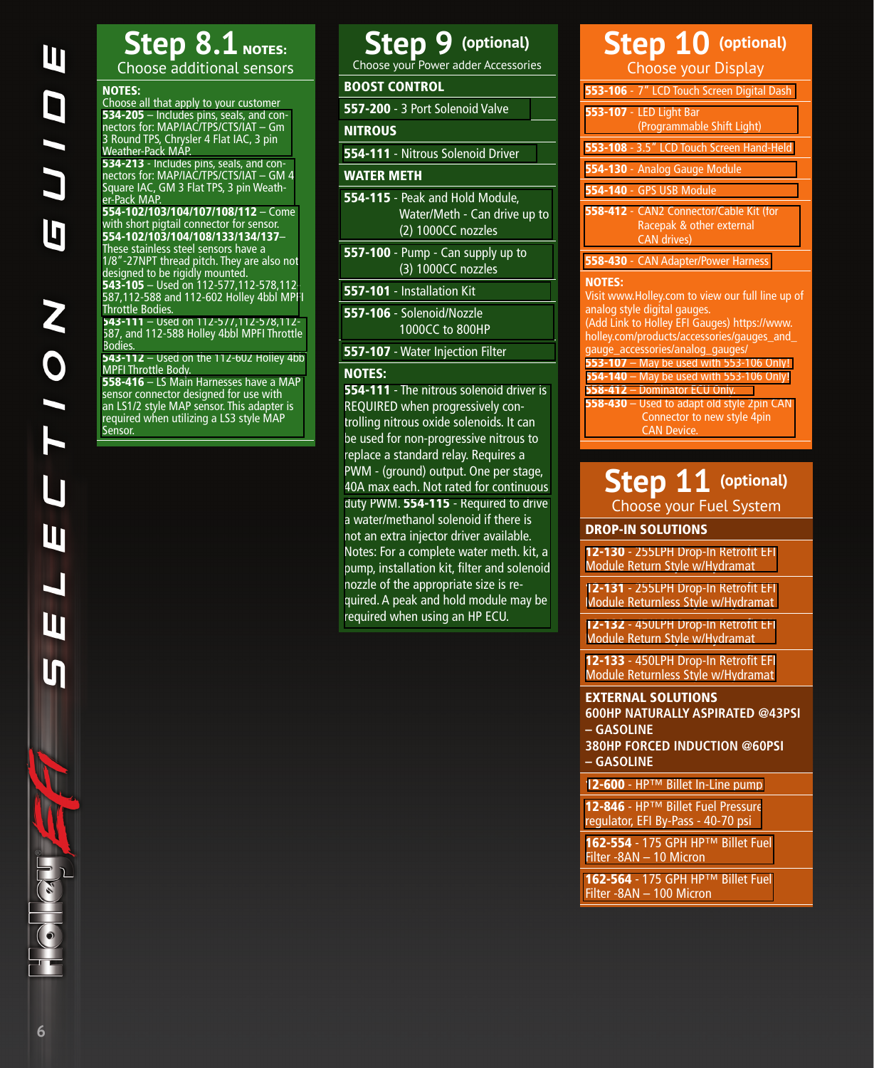# **Step 8.1** NOTES: Choose additional sensors

#### NOTES:

Choose all that apply to your customer 534-205 – Includes pins, seals, and con[nectors for: MAP/IAC/TPS/CTS/IAT – Gm](https://www.holley.com/534-205)  3 Round TPS, Chrysler 4 Flat IAC, 3 pin Weather-Pack MAP.

534-213 - Includes pins, seals, and con[nectors for: MAP/IAC/TPS/CTS/IAT – GM 4](534-213)  Square IAC, GM 3 Flat TPS, 3 pin Weather-Pack MAP.

#### 554-102/103/104/107/108/112 – Come with short pigtail connector for sensor. 554-102/103/104/108/133/134/137–

These stainless steel sensors have a [1/8"-27NPT thread pitch. They are also not](https://www.holley.com/products/fuel_systems/fuel_injection/fuel_injection_components/sensors/)  designed to be rigidly mounted. 543-105 – Used on 112-577,112-578,112- 587,112-588 and 112-602 Holley 4bbl MPFI Throttle Bodies.

543-111 – Used on 112-577,112-578,112- [587, and 112-588 Holley 4bbl MPFI Throttle](https://www.holley.com/543-111/)  Bodies.

543-112 [– Used on the 112-602 Holley 4bbl](543-112) MPFI Throttle Body.

558-416 – LS Main Harnesses have a MAP sensor connector designed for use with [an LS1/2 style MAP sensor. This adapter is](558-416)  required when utilizing a LS3 style MAP Sensor.

# **Step 9 (optional)**

Choose your Power adder Accessories

## BOOST CONTROL

557-200 [- 3 Port Solenoid Valve](https://www.holley.com/557-200)

## **NITROUS**

554-111 [- Nitrous Solenoid Driver](https://www.holley.com/554-111)

#### WATER METH

- 554-115 Peak and Hold Module, [Water/Meth - Can drive up to](https://www.holley.com/554-115)  (2) 1000CC nozzles
- 557-100 [Pump Can supply up to](https://www.holley.com/557-100)  (3) 1000CC nozzles
- 557-101 [Installation Kit](https://www.holley.com/557-101)
- 557-106 [Solenoid/Nozzle](https://www.holley.com/557-106)  1000CC to 800HP
- 557-107 [Water Injection Filter](https://www.holley.com/557-107)

#### NOTES:

554-111 - The nitrous solenoid driver is REQUIRED when progressively controlling nitrous oxide solenoids. It can be used for non-progressive nitrous to replace a standard relay. Requires a [PWM - \(ground\) output. One per stage,](https://www.holley.com/554-111)  40A max each. Not rated for continuous duty PWM. 554-115 - Required to drive a water/methanol solenoid if there is not an extra injector driver available. [Notes: For a complete water meth. kit, a](https://www.holley.com/554-115)  pump, installation kit, filter and solenoid nozzle of the appropriate size is required. A peak and hold module may be required when using an HP ECU.

# **Step 10 (optional)** Choose your Display

# **Step 11** (optional) Choose your Fuel System

## DROP-IN SOLUTIONS

12-130 - 255LPH Drop-In Retrofit EFI [Module Return Style w/Hydramat](https://www.holley.com/12-130)

12-131 - 255LPH Drop-In Retrofit EFI [Module Returnless Style w/Hydramat](https://www.holley.com/12-131)

12-132 [- 450LPH Drop-In Retrofit EFI](https://www.holley.com/12-132) Module Return Style w/Hydramat

12-133 - 450LPH Drop-In Retrofit EFI [Module Returnless Style w/Hydramat](12-133)

#### EXTERNAL SOLUTIONS

**600HP NATURALLY ASPIRATED @43PSI – GASOLINE**

**380HP FORCED INDUCTION @60PSI – GASOLINE**

12-600 [- HP™ Billet In-Line pump](12-600)

12-846 - HP™ Billet Fuel Pressure [regulator, EFI By-Pass - 40-70 psi](https://www.holley.com/12-846)

162-554 - 175 GPH HP™ Billet Fuel Filter -8AN – 10 Micron

162-564 - 175 GPH HP™ Billet Fuel Filter -8AN – 100 Micron